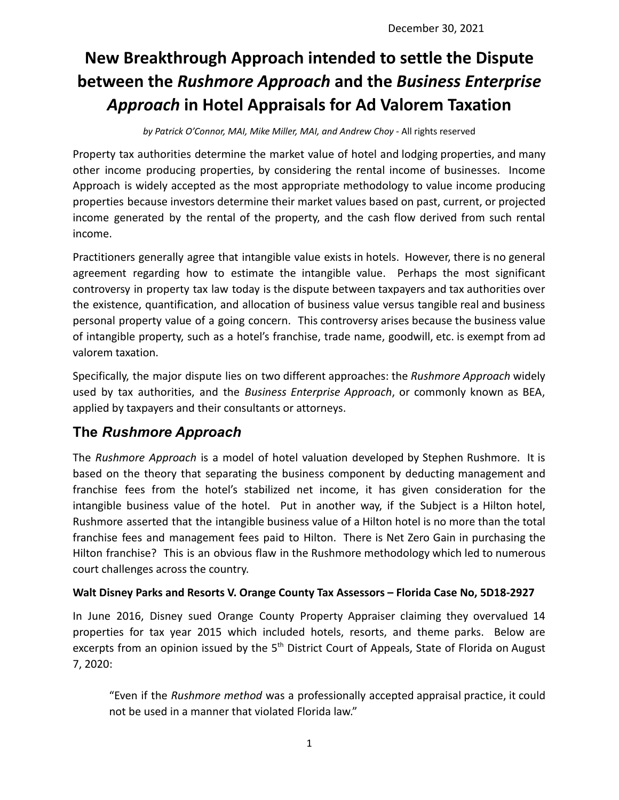# **New Breakthrough Approach intended to settle the Dispute between the** *Rushmore Approach* **and the** *Business Enterprise Approach* **in Hotel Appraisals for Ad Valorem Taxation**

*by Patrick O'Connor, MAI, Mike Miller, MAI, and Andrew Choy -* All rights reserved

Property tax authorities determine the market value of hotel and lodging properties, and many other income producing properties, by considering the rental income of businesses. Income Approach is widely accepted as the most appropriate methodology to value income producing properties because investors determine their market values based on past, current, or projected income generated by the rental of the property, and the cash flow derived from such rental income.

Practitioners generally agree that intangible value exists in hotels. However, there is no general agreement regarding how to estimate the intangible value. Perhaps the most significant controversy in property tax law today is the dispute between taxpayers and tax authorities over the existence, quantification, and allocation of business value versus tangible real and business personal property value of a going concern. This controversy arises because the business value of intangible property, such as a hotel's franchise, trade name, goodwill, etc. is exempt from ad valorem taxation.

Specifically, the major dispute lies on two different approaches: the *Rushmore Approach* widely used by tax authorities, and the *Business Enterprise Approach*, or commonly known as BEA, applied by taxpayers and their consultants or attorneys.

# **The** *Rushmore Approach*

The *Rushmore Approach* is a model of hotel valuation developed by Stephen Rushmore. It is based on the theory that separating the business component by deducting management and franchise fees from the hotel's stabilized net income, it has given consideration for the intangible business value of the hotel. Put in another way, if the Subject is a Hilton hotel, Rushmore asserted that the intangible business value of a Hilton hotel is no more than the total franchise fees and management fees paid to Hilton. There is Net Zero Gain in purchasing the Hilton franchise? This is an obvious flaw in the Rushmore methodology which led to numerous court challenges across the country.

## **Walt Disney Parks and Resorts V. Orange County Tax Assessors – Florida Case No, 5D18-2927**

In June 2016, Disney sued Orange County Property Appraiser claiming they overvalued 14 properties for tax year 2015 which included hotels, resorts, and theme parks. Below are excerpts from an opinion issued by the 5<sup>th</sup> District Court of Appeals, State of Florida on August 7, 2020:

"Even if the *Rushmore method* was a professionally accepted appraisal practice, it could not be used in a manner that violated Florida law."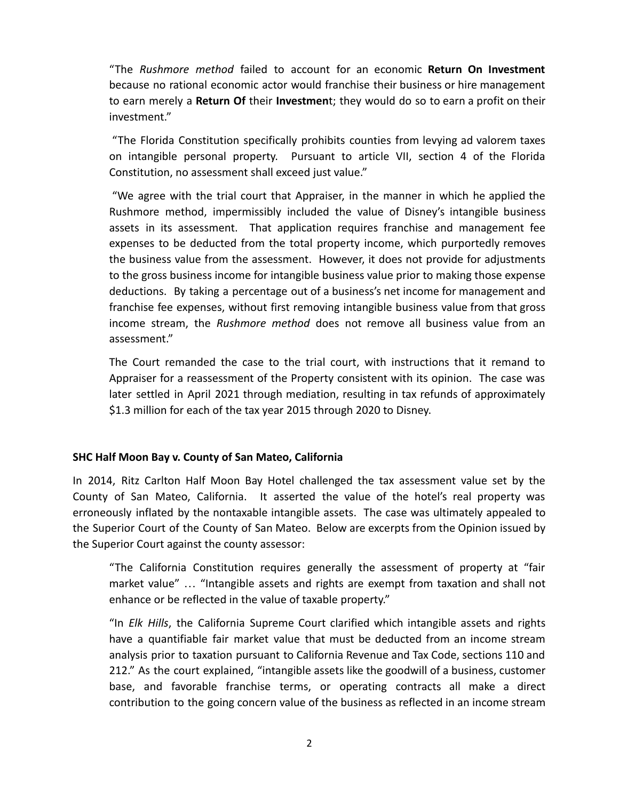"The *Rushmore method* failed to account for an economic **Return On Investment** because no rational economic actor would franchise their business or hire management to earn merely a **Return Of** their **Investmen**t; they would do so to earn a profit on their investment."

"The Florida Constitution specifically prohibits counties from levying ad valorem taxes on intangible personal property. Pursuant to article VII, section 4 of the Florida Constitution, no assessment shall exceed just value."

"We agree with the trial court that Appraiser, in the manner in which he applied the Rushmore method, impermissibly included the value of Disney's intangible business assets in its assessment. That application requires franchise and management fee expenses to be deducted from the total property income, which purportedly removes the business value from the assessment. However, it does not provide for adjustments to the gross business income for intangible business value prior to making those expense deductions. By taking a percentage out of a business's net income for management and franchise fee expenses, without first removing intangible business value from that gross income stream, the *Rushmore method* does not remove all business value from an assessment."

The Court remanded the case to the trial court, with instructions that it remand to Appraiser for a reassessment of the Property consistent with its opinion. The case was later settled in April 2021 through mediation, resulting in tax refunds of approximately \$1.3 million for each of the tax year 2015 through 2020 to Disney.

### **SHC Half Moon Bay v. County of San Mateo, California**

In 2014, Ritz Carlton Half Moon Bay Hotel challenged the tax assessment value set by the County of San Mateo, California. It asserted the value of the hotel's real property was erroneously inflated by the nontaxable intangible assets. The case was ultimately appealed to the Superior Court of the County of San Mateo. Below are excerpts from the Opinion issued by the Superior Court against the county assessor:

"The California Constitution requires generally the assessment of property at "fair market value" … "Intangible assets and rights are exempt from taxation and shall not enhance or be reflected in the value of taxable property."

"In *Elk Hills*, the California Supreme Court clarified which intangible assets and rights have a quantifiable fair market value that must be deducted from an income stream analysis prior to taxation pursuant to California Revenue and Tax Code, sections 110 and 212." As the court explained, "intangible assets like the goodwill of a business, customer base, and favorable franchise terms, or operating contracts all make a direct contribution to the going concern value of the business as reflected in an income stream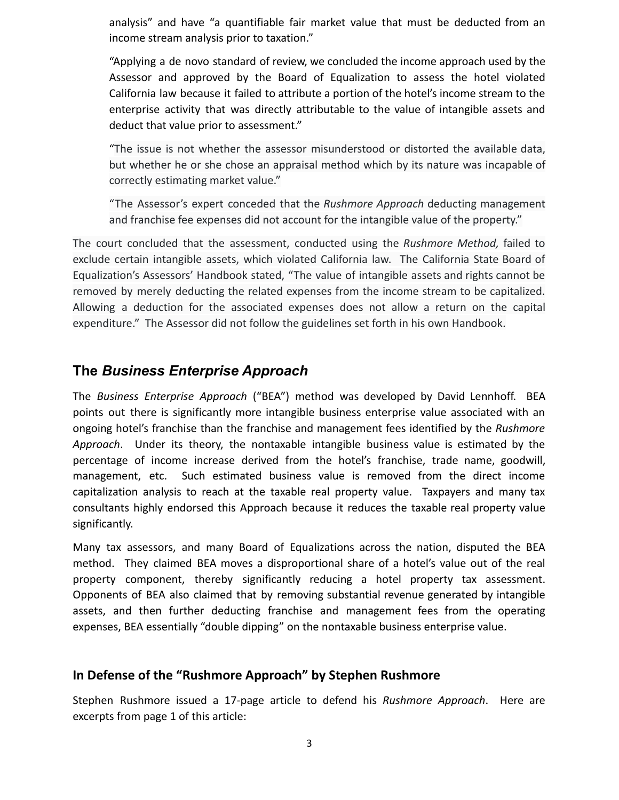analysis" and have "a quantifiable fair market value that must be deducted from an income stream analysis prior to taxation."

"Applying a de novo standard of review, we concluded the income approach used by the Assessor and approved by the Board of Equalization to assess the hotel violated California law because it failed to attribute a portion of the hotel's income stream to the enterprise activity that was directly attributable to the value of intangible assets and deduct that value prior to assessment."

"The issue is not whether the assessor misunderstood or distorted the available data, but whether he or she chose an appraisal method which by its nature was incapable of correctly estimating market value."

"The Assessor's expert conceded that the *Rushmore Approach* deducting management and franchise fee expenses did not account for the intangible value of the property."

The court concluded that the assessment, conducted using the *Rushmore Method,* failed to exclude certain intangible assets, which violated California law. The California State Board of Equalization's Assessors' Handbook stated, "The value of intangible assets and rights cannot be removed by merely deducting the related expenses from the income stream to be capitalized. Allowing a deduction for the associated expenses does not allow a return on the capital expenditure." The Assessor did not follow the guidelines set forth in his own Handbook.

# **The** *Business Enterprise Approach*

The *Business Enterprise Approach* ("BEA") method was developed by David Lennhoff. BEA points out there is significantly more intangible business enterprise value associated with an ongoing hotel's franchise than the franchise and management fees identified by the *Rushmore Approach*. Under its theory, the nontaxable intangible business value is estimated by the percentage of income increase derived from the hotel's franchise, trade name, goodwill, management, etc. Such estimated business value is removed from the direct income capitalization analysis to reach at the taxable real property value. Taxpayers and many tax consultants highly endorsed this Approach because it reduces the taxable real property value significantly.

Many tax assessors, and many Board of Equalizations across the nation, disputed the BEA method. They claimed BEA moves a disproportional share of a hotel's value out of the real property component, thereby significantly reducing a hotel property tax assessment. Opponents of BEA also claimed that by removing substantial revenue generated by intangible assets, and then further deducting franchise and management fees from the operating expenses, BEA essentially "double dipping" on the nontaxable business enterprise value.

# **In Defense of the "Rushmore Approach" by Stephen Rushmore**

Stephen Rushmore issued a 17-page article to defend his *Rushmore Approach*. Here are excerpts from page 1 of this article: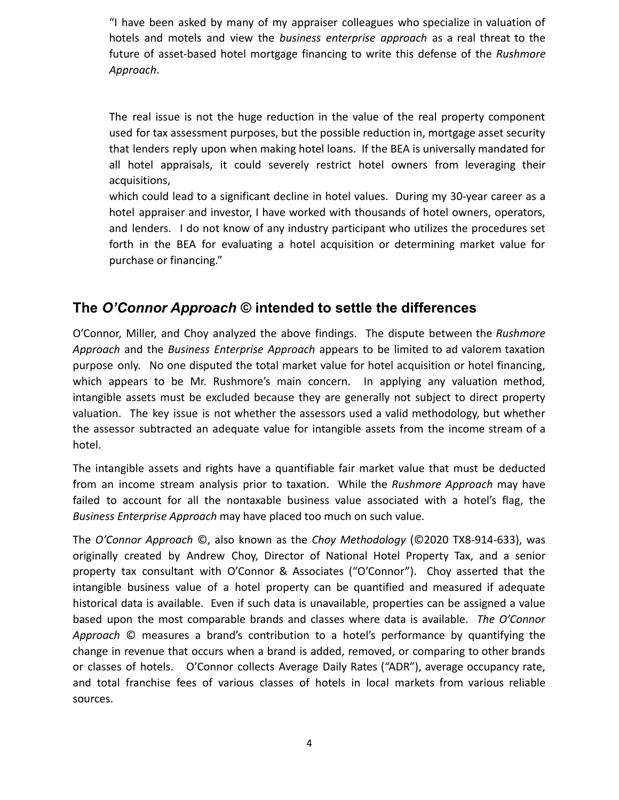"I have been asked by many of my appraiser colleagues who specialize in valuation of hotels and motels and view the *business enterprise approach* as a real threat to the future of asset-based hotel mortgage financing to write this defense of the *Rushmore Approach*.

The real issue is not the huge reduction in the value of the real property component used for tax assessment purposes, but the possible reduction in, mortgage asset security that lenders reply upon when making hotel loans. If the BEA is universally mandated for all hotel appraisals, it could severely restrict hotel owners from leveraging their acquisitions,

which could lead to a significant decline in hotel values. During my 30-year career as a hotel appraiser and investor, I have worked with thousands of hotel owners, operators, and lenders. I do not know of any industry participant who utilizes the procedures set forth in the BEA for evaluating a hotel acquisition or determining market value for purchase or financing."

# **The** *O'Connor Approach* **© intended to settle the differences**

O'Connor, Miller, and Choy analyzed the above findings. The dispute between the *Rushmore Approach* and the *Business Enterprise Approach* appears to be limited to ad valorem taxation purpose only. No one disputed the total market value for hotel acquisition or hotel financing, which appears to be Mr. Rushmore's main concern. In applying any valuation method, intangible assets must be excluded because they are generally not subject to direct property valuation. The key issue is not whether the assessors used a valid methodology, but whether the assessor subtracted an adequate value for intangible assets from the income stream of a hotel.

The intangible assets and rights have a quantifiable fair market value that must be deducted from an income stream analysis prior to taxation. While the *Rushmore Approach* may have failed to account for all the nontaxable business value associated with a hotel's flag, the *Business Enterprise Approach* may have placed too much on such value.

The *O'Connor Approach* ©, also known as the *Choy Methodology* (©2020 TX8-914-633), was originally created by Andrew Choy, Director of National Hotel Property Tax, and a senior property tax consultant with O'Connor & Associates ("O'Connor"). Choy asserted that the intangible business value of a hotel property can be quantified and measured if adequate historical data is available. Even if such data is unavailable, properties can be assigned a value based upon the most comparable brands and classes where data is available. *The O'Connor Approach* © measures a brand's contribution to a hotel's performance by quantifying the change in revenue that occurs when a brand is added, removed, or comparing to other brands or classes of hotels. O'Connor collects Average Daily Rates ("ADR"), average occupancy rate, and total franchise fees of various classes of hotels in local markets from various reliable sources.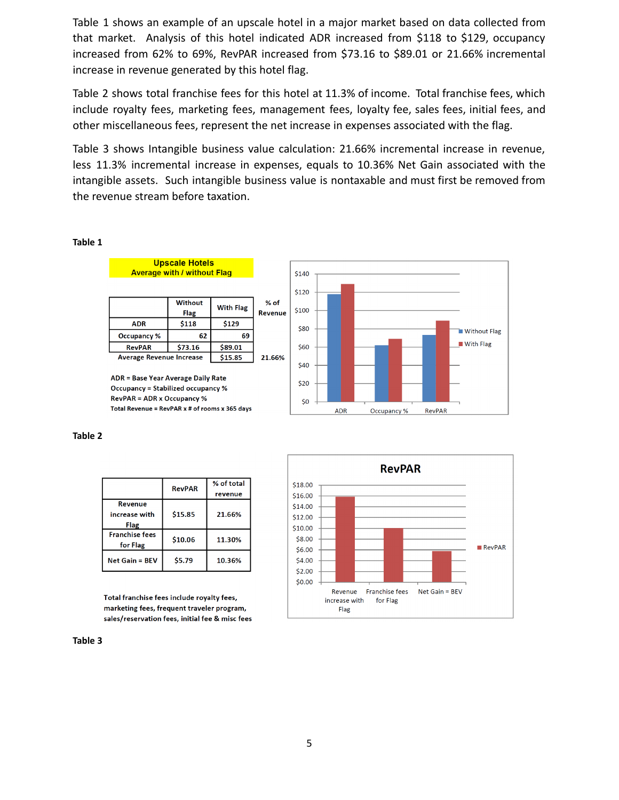Table 1 shows an example of an upscale hotel in a major market based on data collected from that market. Analysis of this hotel indicated ADR increased from \$118 to \$129, occupancy increased from 62% to 69%, RevPAR increased from \$73.16 to \$89.01 or 21.66% incremental increase in revenue generated by this hotel flag.

Table 2 shows total franchise fees for this hotel at 11.3% of income. Total franchise fees, which include royalty fees, marketing fees, management fees, loyalty fee, sales fees, initial fees, and other miscellaneous fees, represent the net increase in expenses associated with the flag.

Table 3 shows Intangible business value calculation: 21.66% incremental increase in revenue, less 11.3% incremental increase in expenses, equals to 10.36% Net Gain associated with the intangible assets. Such intangible business value is nontaxable and must first be removed from the revenue stream before taxation.

#### **Table 1**



ADR = Base Year Average Daily Rate **Occupancy = Stabilized occupancy % RevPAR = ADR x Occupancy %** Total Revenue = RevPAR x # of rooms x 365 days

#### **Table 2**

|                                   | <b>RevPAR</b> | % of total<br>revenue |
|-----------------------------------|---------------|-----------------------|
| Revenue<br>increase with<br>Flag  | \$15.85       | 21.66%                |
| <b>Franchise fees</b><br>for Flag | \$10.06       | 11.30%                |
| $Net Gain = BFV$                  | \$5.79        | 10.36%                |

Total franchise fees include royalty fees, marketing fees, frequent traveler program, sales/reservation fees, initial fee & misc fees

#### **Table 3**





5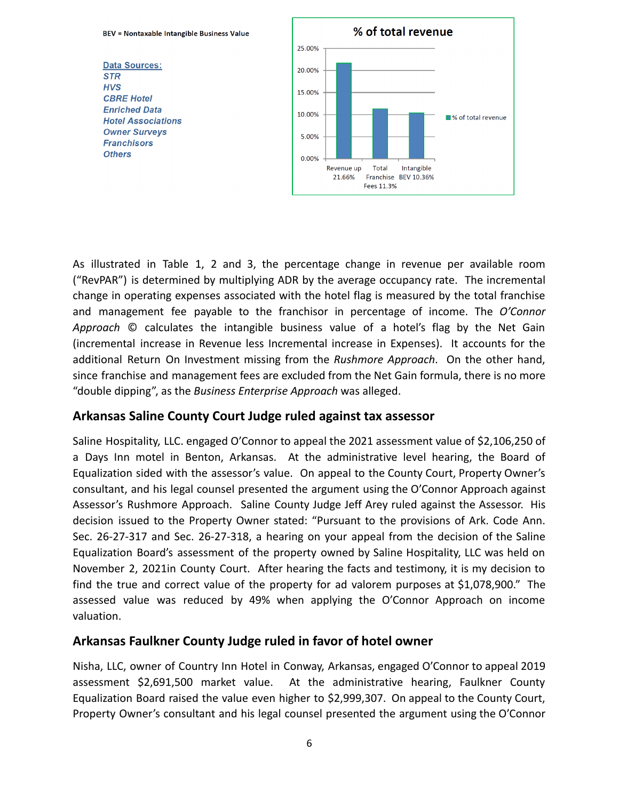

As illustrated in Table 1, 2 and 3, the percentage change in revenue per available room ("RevPAR") is determined by multiplying ADR by the average occupancy rate. The incremental change in operating expenses associated with the hotel flag is measured by the total franchise and management fee payable to the franchisor in percentage of income. The *O'Connor Approach* © calculates the intangible business value of a hotel's flag by the Net Gain (incremental increase in Revenue less Incremental increase in Expenses). It accounts for the additional Return On Investment missing from the *Rushmore Approach*. On the other hand, since franchise and management fees are excluded from the Net Gain formula, there is no more "double dipping", as the *Business Enterprise Approach* was alleged.

### **Arkansas Saline County Court Judge ruled against tax assessor**

Saline Hospitality, LLC. engaged O'Connor to appeal the 2021 assessment value of \$2,106,250 of a Days Inn motel in Benton, Arkansas. At the administrative level hearing, the Board of Equalization sided with the assessor's value. On appeal to the County Court, Property Owner's consultant, and his legal counsel presented the argument using the O'Connor Approach against Assessor's Rushmore Approach. Saline County Judge Jeff Arey ruled against the Assessor. His decision issued to the Property Owner stated: "Pursuant to the provisions of Ark. Code Ann. Sec. 26-27-317 and Sec. 26-27-318, a hearing on your appeal from the decision of the Saline Equalization Board's assessment of the property owned by Saline Hospitality, LLC was held on November 2, 2021in County Court. After hearing the facts and testimony, it is my decision to find the true and correct value of the property for ad valorem purposes at \$1,078,900." The assessed value was reduced by 49% when applying the O'Connor Approach on income valuation.

### **Arkansas Faulkner County Judge ruled in favor of hotel owner**

Nisha, LLC, owner of Country Inn Hotel in Conway, Arkansas, engaged O'Connor to appeal 2019 assessment \$2,691,500 market value. At the administrative hearing, Faulkner County Equalization Board raised the value even higher to \$2,999,307. On appeal to the County Court, Property Owner's consultant and his legal counsel presented the argument using the O'Connor